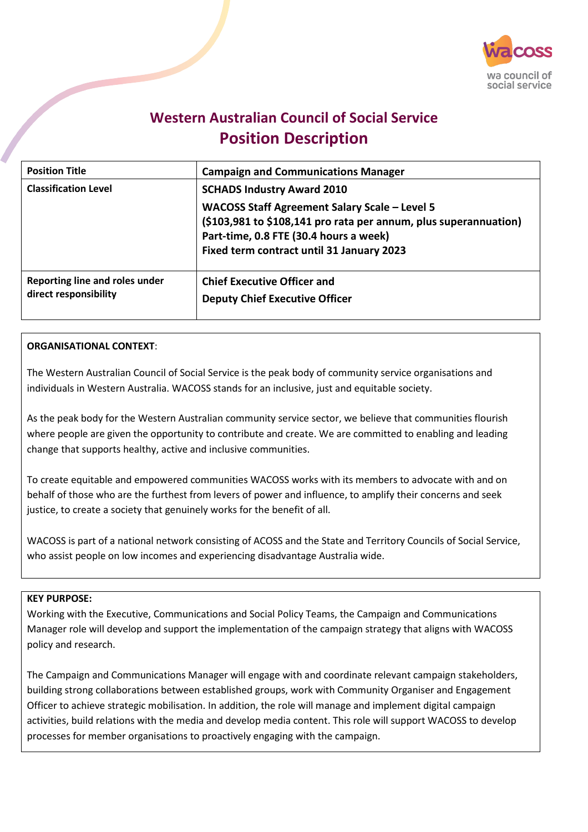

# **Western Australian Council of Social Service Position Description**

| <b>Position Title</b>                                   | <b>Campaign and Communications Manager</b>                                                                                                                                                                                                    |
|---------------------------------------------------------|-----------------------------------------------------------------------------------------------------------------------------------------------------------------------------------------------------------------------------------------------|
| <b>Classification Level</b>                             | <b>SCHADS Industry Award 2010</b><br>WACOSS Staff Agreement Salary Scale - Level 5<br>(\$103,981 to \$108,141 pro rata per annum, plus superannuation)<br>Part-time, 0.8 FTE (30.4 hours a week)<br>Fixed term contract until 31 January 2023 |
| Reporting line and roles under<br>direct responsibility | <b>Chief Executive Officer and</b><br><b>Deputy Chief Executive Officer</b>                                                                                                                                                                   |

### **ORGANISATIONAL CONTEXT**:

The Western Australian Council of Social Service is the peak body of community service organisations and individuals in Western Australia. WACOSS stands for an inclusive, just and equitable society.

As the peak body for the Western Australian community service sector, we believe that communities flourish where people are given the opportunity to contribute and create. We are committed to enabling and leading change that supports healthy, active and inclusive communities.

To create equitable and empowered communities WACOSS works with its members to advocate with and on behalf of those who are the furthest from levers of power and influence, to amplify their concerns and seek justice, to create a society that genuinely works for the benefit of all.

WACOSS is part of a national network consisting of ACOSS and the State and Territory Councils of Social Service, who assist people on low incomes and experiencing disadvantage Australia wide.

#### **KEY PURPOSE:**

Working with the Executive, Communications and Social Policy Teams, the Campaign and Communications Manager role will develop and support the implementation of the campaign strategy that aligns with WACOSS policy and research.

The Campaign and Communications Manager will engage with and coordinate relevant campaign stakeholders, building strong collaborations between established groups, work with Community Organiser and Engagement Officer to achieve strategic mobilisation. In addition, the role will manage and implement digital campaign activities, build relations with the media and develop media content. This role will support WACOSS to develop processes for member organisations to proactively engaging with the campaign.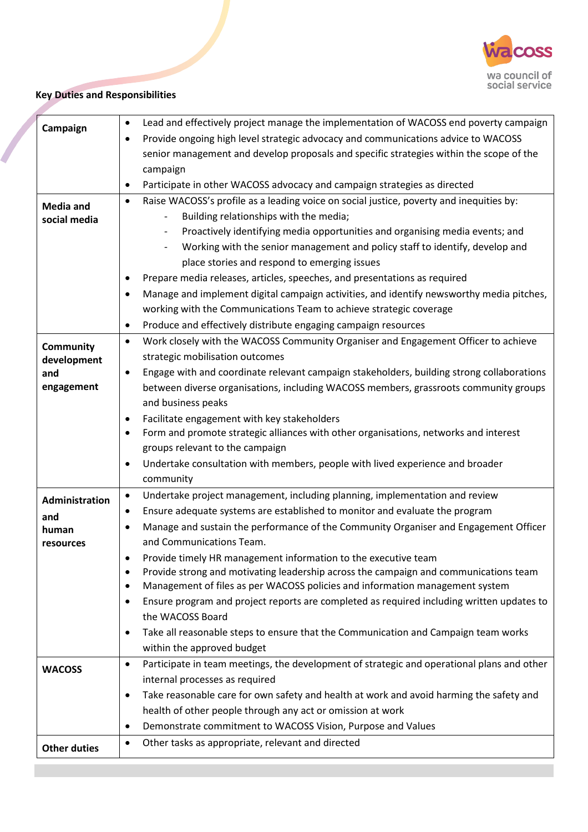

# **Key Duties and Responsibilities**

| Campaign            | Lead and effectively project manage the implementation of WACOSS end poverty campaign<br>٠              |
|---------------------|---------------------------------------------------------------------------------------------------------|
|                     | Provide ongoing high level strategic advocacy and communications advice to WACOSS<br>$\bullet$          |
|                     | senior management and develop proposals and specific strategies within the scope of the                 |
|                     | campaign                                                                                                |
|                     | Participate in other WACOSS advocacy and campaign strategies as directed                                |
| <b>Media and</b>    | Raise WACOSS's profile as a leading voice on social justice, poverty and inequities by:<br>$\bullet$    |
| social media        | Building relationships with the media;<br>$\overline{\phantom{a}}$                                      |
|                     | Proactively identifying media opportunities and organising media events; and                            |
|                     | Working with the senior management and policy staff to identify, develop and                            |
|                     | place stories and respond to emerging issues                                                            |
|                     | Prepare media releases, articles, speeches, and presentations as required                               |
|                     | Manage and implement digital campaign activities, and identify newsworthy media pitches,                |
|                     | working with the Communications Team to achieve strategic coverage                                      |
|                     | Produce and effectively distribute engaging campaign resources<br>$\bullet$                             |
| Community           | Work closely with the WACOSS Community Organiser and Engagement Officer to achieve<br>$\bullet$         |
| development         | strategic mobilisation outcomes                                                                         |
| and                 | Engage with and coordinate relevant campaign stakeholders, building strong collaborations               |
| engagement          | between diverse organisations, including WACOSS members, grassroots community groups                    |
|                     | and business peaks                                                                                      |
|                     | Facilitate engagement with key stakeholders<br>٠                                                        |
|                     | Form and promote strategic alliances with other organisations, networks and interest                    |
|                     | groups relevant to the campaign                                                                         |
|                     | Undertake consultation with members, people with lived experience and broader<br>٠                      |
|                     | community                                                                                               |
| Administration      | Undertake project management, including planning, implementation and review<br>$\bullet$                |
| and                 | Ensure adequate systems are established to monitor and evaluate the program<br>٠                        |
| human               | Manage and sustain the performance of the Community Organiser and Engagement Officer                    |
| resources           | and Communications Team.                                                                                |
|                     | Provide timely HR management information to the executive team                                          |
|                     | Provide strong and motivating leadership across the campaign and communications team<br>$\bullet$       |
|                     | Management of files as per WACOSS policies and information management system<br>٠                       |
|                     | Ensure program and project reports are completed as required including written updates to<br>$\bullet$  |
|                     | the WACOSS Board                                                                                        |
|                     | Take all reasonable steps to ensure that the Communication and Campaign team works                      |
|                     | within the approved budget                                                                              |
| <b>WACOSS</b>       | Participate in team meetings, the development of strategic and operational plans and other<br>$\bullet$ |
|                     | internal processes as required                                                                          |
|                     | Take reasonable care for own safety and health at work and avoid harming the safety and<br>$\bullet$    |
|                     | health of other people through any act or omission at work                                              |
|                     | Demonstrate commitment to WACOSS Vision, Purpose and Values<br>$\bullet$                                |
| <b>Other duties</b> | Other tasks as appropriate, relevant and directed<br>$\bullet$                                          |
|                     |                                                                                                         |